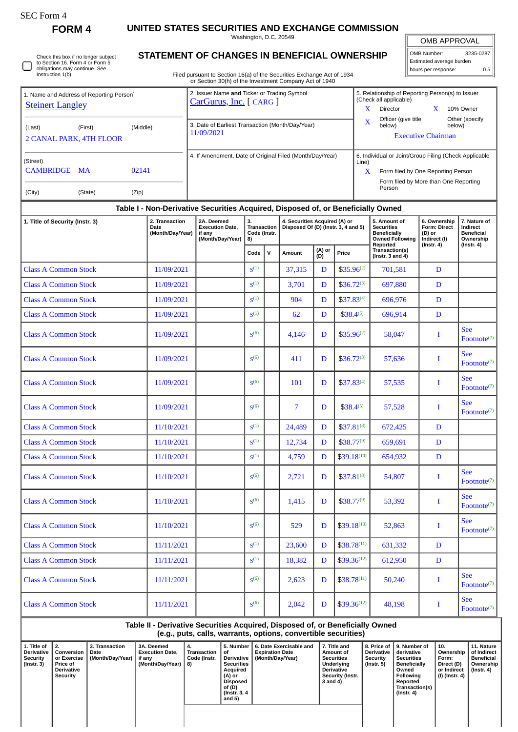| SEC Form |
|----------|
|----------|

**FORM 4 UNITED STATES SECURITIES AND EXCHANGE COMMISSION**

Washington, D.C. 20549

OMB APPROVAL

| <b>OMB APPROVAL</b>      |           |  |  |  |  |  |  |  |  |  |  |
|--------------------------|-----------|--|--|--|--|--|--|--|--|--|--|
|                          |           |  |  |  |  |  |  |  |  |  |  |
| OMB Number:              | 3235-0287 |  |  |  |  |  |  |  |  |  |  |
| Estimated average burden |           |  |  |  |  |  |  |  |  |  |  |
| hours per response:      | 0.5       |  |  |  |  |  |  |  |  |  |  |

5. Relationship of Reporting Person(s) to Issuer

(Check all applicable)

Check this box if no longer subject to Section 16. Form 4 or Form 5 obligations may continue. *See* Instruction 1(b). O

1. Name and Address of Reporting Person<sup>\*</sup>

**[Steinert Langley](http://www.sec.gov/cgi-bin/browse-edgar?action=getcompany&CIK=0001719138)** 

## **STATEMENT OF CHANGES IN BENEFICIAL OWNERSHIP**

Filed pursuant to Section 16(a) of the Securities Exchange Act of 1934 or Section 30(h) of the Investment Company Act of 1940

2. Issuer Name **and** Ticker or Trading Symbol [CarGurus, Inc.](http://www.sec.gov/cgi-bin/browse-edgar?action=getcompany&CIK=0001494259) [ CARG ]

| <u>Steinert Langley</u>                                                       |                                                                                           |                                                                    |                                         |              |                                                                      |               |                                                                                                                                                | X<br>Director | $\mathbf{x}$                                                                       | 10% Owner                                                     |                                                            |
|-------------------------------------------------------------------------------|-------------------------------------------------------------------------------------------|--------------------------------------------------------------------|-----------------------------------------|--------------|----------------------------------------------------------------------|---------------|------------------------------------------------------------------------------------------------------------------------------------------------|---------------|------------------------------------------------------------------------------------|---------------------------------------------------------------|------------------------------------------------------------|
| (First)<br>(Last)<br>2 CANAL PARK, 4TH FLOOR                                  | 3. Date of Earliest Transaction (Month/Day/Year)<br>11/09/2021                            |                                                                    |                                         |              |                                                                      | X             | Officer (give title<br>Other (specify<br>below)<br>below)<br><b>Executive Chairman</b>                                                         |               |                                                                                    |                                                               |                                                            |
| (Street)<br>CAMBRIDGE MA<br>(State)                                           | 4. If Amendment, Date of Original Filed (Month/Day/Year)                                  |                                                                    |                                         |              |                                                                      | Line)<br>X    | 6. Individual or Joint/Group Filing (Check Applicable<br>Form filed by One Reporting Person<br>Form filed by More than One Reporting<br>Person |               |                                                                                    |                                                               |                                                            |
| (City)                                                                        | (Zip)<br>Table I - Non-Derivative Securities Acquired, Disposed of, or Beneficially Owned |                                                                    |                                         |              |                                                                      |               |                                                                                                                                                |               |                                                                                    |                                                               |                                                            |
| 2. Transaction<br>1. Title of Security (Instr. 3)<br>Date<br>(Month/Day/Year) |                                                                                           | 2A. Deemed<br><b>Execution Date,</b><br>if any<br>(Month/Day/Year) | 3.<br>Transaction<br>Code (Instr.<br>8) |              | 4. Securities Acquired (A) or<br>Disposed Of (D) (Instr. 3, 4 and 5) |               |                                                                                                                                                |               | 5. Amount of<br><b>Securities</b><br><b>Beneficially</b><br><b>Owned Following</b> | 6. Ownership<br><b>Form: Direct</b><br>(D) or<br>Indirect (I) | 7. Nature of<br>Indirect<br><b>Beneficial</b><br>Ownership |
|                                                                               |                                                                                           |                                                                    | Code                                    | $\mathsf{v}$ | Amount                                                               | (A) or<br>(D) | Price                                                                                                                                          |               | Reported<br>Transaction(s)<br>(Instr. $3$ and $4$ )                                | $($ Instr. 4 $)$                                              | $($ Instr. 4 $)$                                           |
| <b>Class A Common Stock</b>                                                   | 11/09/2021                                                                                |                                                                    | $S^{(1)}$                               |              | 37,315                                                               | D             | $$35.96^{(2)}$                                                                                                                                 |               | 701,581                                                                            | D                                                             |                                                            |
| <b>Class A Common Stock</b>                                                   | 11/09/2021                                                                                |                                                                    | S <sup>(1)</sup>                        |              | 3,701                                                                | D             | $$36.72^{(3)}$                                                                                                                                 |               | 697,880                                                                            | D                                                             |                                                            |
| <b>Class A Common Stock</b>                                                   | 11/09/2021                                                                                |                                                                    | $S^{(1)}$                               |              | 904                                                                  | D             | $$37.83^{(4)}$                                                                                                                                 | 696,976       |                                                                                    | D                                                             |                                                            |
| <b>Class A Common Stock</b>                                                   | 11/09/2021                                                                                |                                                                    | $S^{(1)}$                               |              | 62                                                                   | D             | $$38.4^{(5)}$                                                                                                                                  |               | 696,914                                                                            | D                                                             |                                                            |
| <b>Class A Common Stock</b>                                                   | 11/09/2021                                                                                |                                                                    | S <sup>(6)</sup>                        |              | 4,146                                                                | D             | $$35.96^{(2)}$                                                                                                                                 |               | 58,047                                                                             | I                                                             | <b>See</b><br>Footnote <sup>(7)</sup>                      |
| <b>Class A Common Stock</b>                                                   | 11/09/2021                                                                                |                                                                    | S <sup>(6)</sup>                        |              | 411                                                                  | D             | $$36.72^{(3)}$                                                                                                                                 |               | 57,636                                                                             | Ι                                                             | <b>See</b><br>Footnote <sup>(7)</sup>                      |
| <b>Class A Common Stock</b>                                                   | 11/09/2021                                                                                |                                                                    | S <sup>(6)</sup>                        |              | 101                                                                  | D             | $$37.83^{(4)}$                                                                                                                                 |               | 57,535                                                                             | I                                                             | <b>See</b><br>Footnote $(7)$                               |
| <b>Class A Common Stock</b>                                                   | 11/09/2021                                                                                |                                                                    | S <sup>(6)</sup>                        |              | 7                                                                    | D             | $$38.4^{(5)}$                                                                                                                                  |               | 57,528                                                                             | I                                                             | <b>See</b><br>Footnote <sup>(7)</sup>                      |
| <b>Class A Common Stock</b>                                                   | 11/10/2021                                                                                |                                                                    | S <sup>(1)</sup>                        |              | 24,489                                                               | D             | $$37.81^{(8)}$                                                                                                                                 |               | 672,425                                                                            | D                                                             |                                                            |
| <b>Class A Common Stock</b>                                                   | 11/10/2021                                                                                |                                                                    | S <sup>(1)</sup>                        |              | 12,734                                                               | D             | $$38.77^{(9)}$                                                                                                                                 |               | 659,691                                                                            | D                                                             |                                                            |
| <b>Class A Common Stock</b>                                                   | 11/10/2021                                                                                |                                                                    | S <sup>(1)</sup>                        |              | 4,759                                                                | D             | $$39.18^{(10)}$                                                                                                                                |               | 654,932                                                                            | D                                                             |                                                            |
| <b>Class A Common Stock</b>                                                   | 11/10/2021                                                                                |                                                                    | S <sup>(6)</sup>                        |              | 2,721                                                                | D             | $$37.81^{(8)}$                                                                                                                                 |               | 54,807                                                                             | I                                                             | <b>See</b><br>Footnote $(7)$                               |
| <b>Class A Common Stock</b>                                                   | 11/10/2021                                                                                |                                                                    | S <sup>(6)</sup>                        |              | 1,415                                                                | D             | $$38.77^{(9)}$                                                                                                                                 |               | 53,392                                                                             | I                                                             | <b>See</b><br>$\text{Footnote}^{(7)}$                      |
| <b>Class A Common Stock</b>                                                   | 11/10/2021                                                                                |                                                                    | S <sup>(6)</sup>                        |              | 529                                                                  | D             | $$39.18^{(10)}$                                                                                                                                |               | 52,863                                                                             | Ι                                                             | <b>See</b><br>Footnote <sup>(7)</sup>                      |
| <b>Class A Common Stock</b>                                                   | 11/11/2021                                                                                |                                                                    | $S^{(1)}$                               |              | 23,600                                                               | D             | $$38.78^{(11)}$                                                                                                                                |               | 631,332                                                                            | $\mathbf D$                                                   |                                                            |
| <b>Class A Common Stock</b>                                                   | 11/11/2021                                                                                |                                                                    | $S^{(1)}$                               |              | 18,382                                                               | D             | $$39.36^{(12)}$                                                                                                                                |               | 612,950                                                                            | $\mathbf D$                                                   |                                                            |
| <b>Class A Common Stock</b>                                                   | 11/11/2021                                                                                |                                                                    | S <sup>(6)</sup>                        |              | 2,623                                                                | D             | $$38.78^{(11)}$                                                                                                                                |               | 50,240                                                                             | I                                                             | <b>See</b><br>Footnote <sup>(7)</sup>                      |
| <b>Class A Common Stock</b>                                                   | 11/11/2021                                                                                |                                                                    | S <sup>(6)</sup>                        |              | 2,042                                                                | D             | $$39.36^{(12)}$$                                                                                                                               |               | 48,198                                                                             | I                                                             | <b>See</b><br>Footnote <sup>(7)</sup>                      |
|                                                                               | Table II - Derivative Securities Acquired, Disposed of, or Beneficially Owned             | (e.g., puts, calls, warrants, options, convertible securities)     |                                         |              |                                                                      |               |                                                                                                                                                |               |                                                                                    |                                                               |                                                            |